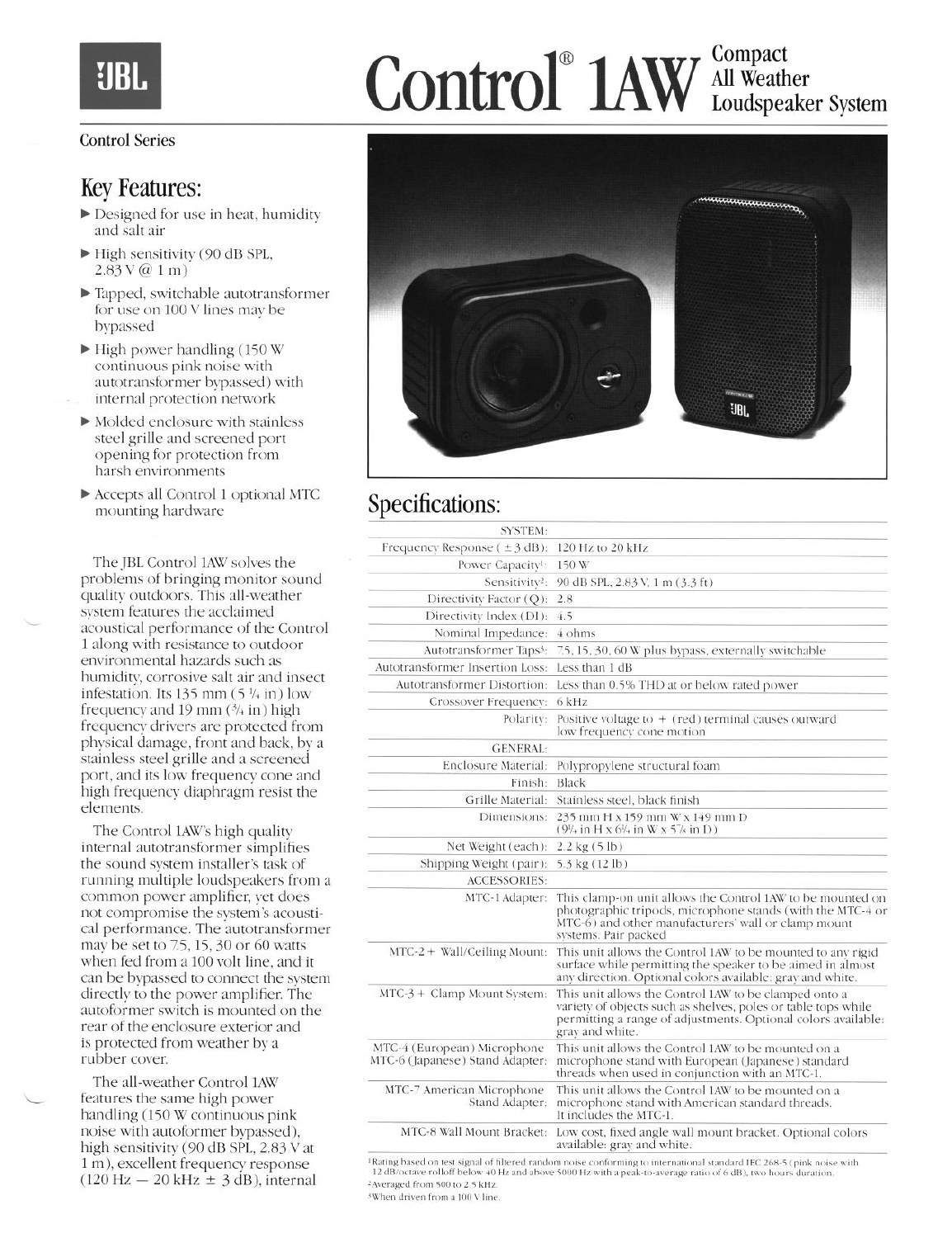# **UBL**

# Control<sup>®</sup> 1AW All Weath All Weather Loudspeaker System

#### Control Series

### Key Features:

- $\blacktriangleright$  Designed for use in heat, humidity and salt air
- High sensitivity (90 dB SPL,  $2.83V@1m)$
- F Tapped, switchable autotransformer for use on 100 V lines may be bypassed
- High power handling (150 W continuous pink noise with autotransformer bypassed) with internal protection network
- F Molded enclosure with stainless steel grille and screened port opening for protection from harsh environments
- F Accepts all Control 1 optional MTC mounting hardware

The JBL Control 1AW solves the problems of bringing monitor sound quality outdoors. This all-weather system features the acclaimed acoustical performance of the Control 1 along with resistance to outdoor environmental hazards such as humidity, corrosive salt air and insect infestation. Its 135 mm  $(5\frac{1}{4}$  in) low frequency and 19 mm  $(3/4 \text{ in})$  high frequency drivers are protected from physical damage, front and back, by a stainless steel grille and a screened port, and its low frequency cone and high frequency diaphragm resist the elements.

The Control 1AW's high quality internal autotransformer simplifies the sound system installer's task of running multiple loudspeakers from a common power amplifier, yet does not compromise the system's acoustical performance. The autotransformer maybe set to Z5,15, 30 or 60 watts when fed from a 100 volt line, and it can be bypassed to connect the system directly to the power amplifier, The autoformer switch is mounted on the rear of the enclosure exterior and is protected from weather by a rubber cover.

The all-weather Control 1AW features the same high power handling (150 W continuous pink noise with autoformer bypassed), high sensitivity (90 dB SPL, 2.83 V at 1 m), excellent frequency response  $(120 \text{ Hz} - 20 \text{ kHz} \pm 3 \text{ dB})$ , internal



# Specifications:

| <b>SYSTEM:</b>                                                 |                                                                                                                                                                                                            |
|----------------------------------------------------------------|------------------------------------------------------------------------------------------------------------------------------------------------------------------------------------------------------------|
| Frequency Response $(\pm 3$ dB):                               | $120$ Hz to $20$ kHz                                                                                                                                                                                       |
| Power Capacityl:                                               | 150 W                                                                                                                                                                                                      |
| Sensitivity <sup>2</sup> :                                     | 90 dB SPL, 2.83 V, 1 m (3.3 ft)                                                                                                                                                                            |
| Directivity Factor (Q):                                        | 2.8                                                                                                                                                                                                        |
| Directivity Index (DI):                                        | 4.5                                                                                                                                                                                                        |
| Nominal Impedance:                                             | 4 ohms                                                                                                                                                                                                     |
| Autotransformer Taps <sup>3</sup> :                            | 7.5, 15, 30, 60 W plus bypass, externally switchable                                                                                                                                                       |
| Autotransformer Insertion Loss:                                | Less than 1 dB                                                                                                                                                                                             |
| Autotransformer Distortion:                                    | Less than 0.5% THD at or below rated power                                                                                                                                                                 |
| Crossover Frequency:                                           | 6 kHz                                                                                                                                                                                                      |
| Polarity:                                                      | Positive voltage to $+$ (red) terminal causes outward<br>low frequency cone motion                                                                                                                         |
| <b>GENERAL:</b>                                                |                                                                                                                                                                                                            |
| Enclosure Material:                                            | Polypropylene structural foam                                                                                                                                                                              |
| Finish:                                                        | Black                                                                                                                                                                                                      |
| Grille Material:                                               | Stainless steel, black finish                                                                                                                                                                              |
| Dimensions:                                                    | 235 mm H x 159 mm W x 149 mm D<br>$(9\%$ in H x 6 <sup>1</sup> / <sub>1</sub> in W x 5 <sup>7</sup> / <sub>8</sub> in D)                                                                                   |
| Net Weight (each):                                             | $2.2$ kg $(5$ lb)                                                                                                                                                                                          |
| Shipping Weight (pair):                                        | 5.3 kg (12 lb)                                                                                                                                                                                             |
| <b>ACCESSORIES:</b>                                            |                                                                                                                                                                                                            |
| MTC-1 Adapter:                                                 | This clamp-on unit allows the Control 1AW to be mounted on<br>photographic tripods, microphone stands (with the MTC-4 or<br>MTC-6) and other manufacturers' wall or clamp mount<br>systems. Pair packed    |
| $MTC-2 + Wall/Celling Mount:$                                  | This unit allows the Control 1AW to be mounted to any rigid<br>surface while permitting the speaker to be aimed in almost<br>any direction. Optional colors available: grav and white.                     |
| $MTC-3 + Clamp Mount System:$                                  | This unit allows the Control 1AW to be clamped onto a<br>variety of objects such as shelves, poles or table tops while<br>permitting a range of adjustments. Optional colors available:<br>grav and white. |
| MTC-4 (European) Microphone<br>MTC-6 (Japanese) Stand Adapter: | This unit allows the Control 1AW to be mounted on a<br>microphone stand with European (Japanese) standard<br>threads when used in conjunction with an MTC-1.                                               |
| MTC-7 American Microphone<br>Stand Adapter:                    | This unit allows the Control 1AW to be mounted on a<br>microphone stand with American standard threads.<br>It includes the MTC-1.                                                                          |
| MTC-8 Wall Mount Bracket:                                      | Low cost, fixed angle wall mount bracket. Optional colors<br>available: gray and white.                                                                                                                    |

<sup>1</sup>Rating based on test signal of filtered random noise conforming to international standard IEC 268-5 (pink noise with 12 dB/octave rolloff below 40 Hz and above 5000 Hz with a peak-to-average ratio of 6 dB), two hours du <sup>2</sup> Averaged from 500 to 2.5 kHz.

<sup>5</sup>When driven from a 100 V line